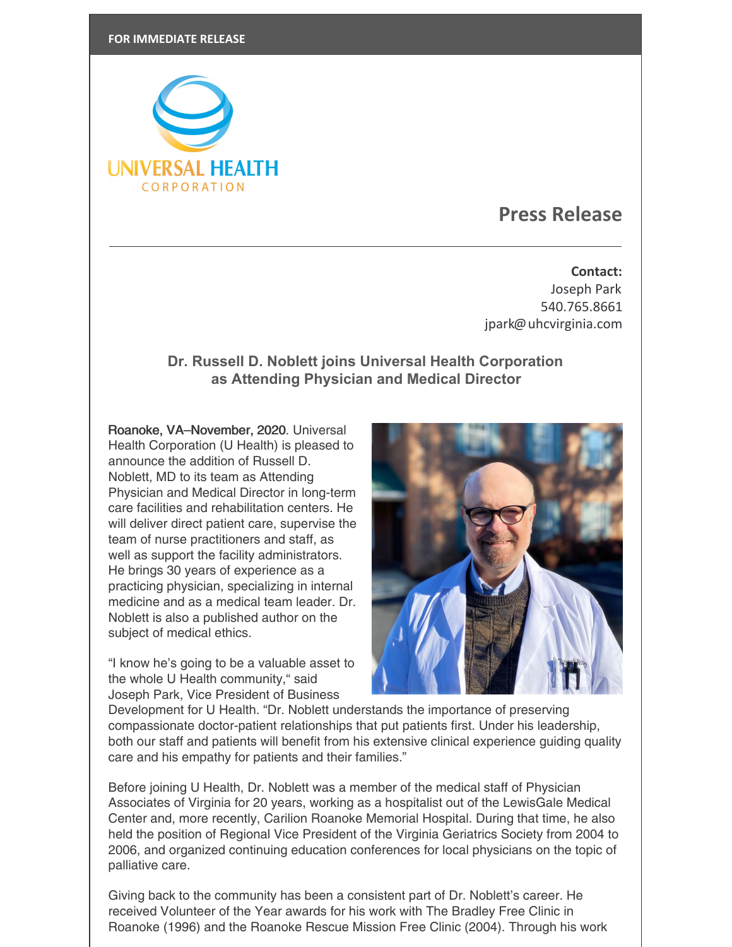

## **Press Release**

**Contact:** Joseph Park 540.765.8661 [jpark@uhcvirginia.com](mailto:jpark@uhcvirginia.com)

## **Dr. Russell D. Noblett joins Universal Health Corporation as Attending Physician and Medical Director**

Roanoke, VA–November, 2020. Universal Health Corporation (U Health) is pleased to announce the addition of Russell D. Noblett, MD to its team as Attending Physician and Medical Director in long-term care facilities and rehabilitation centers. He will deliver direct patient care, supervise the team of nurse practitioners and staff, as well as support the facility administrators. He brings 30 years of experience as a practicing physician, specializing in internal medicine and as a medical team leader. Dr. Noblett is also a published author on the subject of medical ethics.

"I know he's going to be a valuable asset to the whole U Health community," said Joseph Park, Vice President of Business



Development for U Health. "Dr. Noblett understands the importance of preserving compassionate doctor-patient relationships that put patients first. Under his leadership, both our staff and patients will benefit from his extensive clinical experience guiding quality care and his empathy for patients and their families."

Before joining U Health, Dr. Noblett was a member of the medical staff of Physician Associates of Virginia for 20 years, working as a hospitalist out of the LewisGale Medical Center and, more recently, Carilion Roanoke Memorial Hospital. During that time, he also held the position of Regional Vice President of the Virginia Geriatrics Society from 2004 to 2006, and organized continuing education conferences for local physicians on the topic of palliative care.

Giving back to the community has been a consistent part of Dr. Noblett's career. He received Volunteer of the Year awards for his work with The Bradley Free Clinic in Roanoke (1996) and the Roanoke Rescue Mission Free Clinic (2004). Through his work